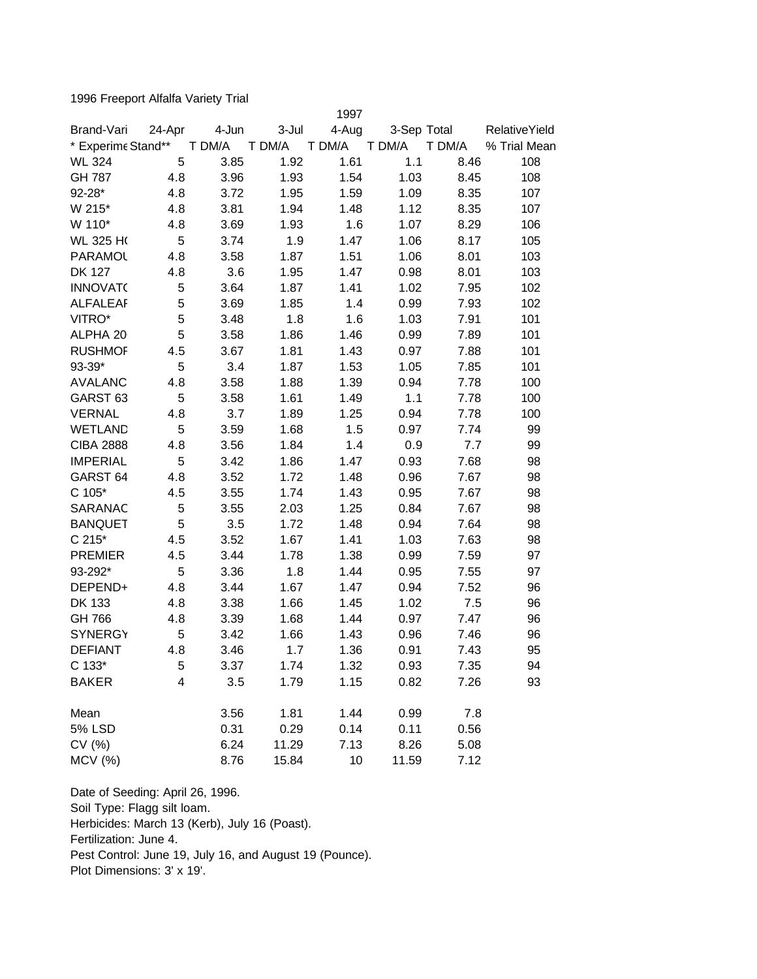1996 Freeport Alfalfa Variety Trial

|                     |        |        |        | 1997   |             |        |                      |
|---------------------|--------|--------|--------|--------|-------------|--------|----------------------|
| Brand-Vari          | 24-Apr | 4-Jun  | 3-Jul  | 4-Aug  | 3-Sep Total |        | <b>RelativeYield</b> |
| * Experime Stand**  |        | T DM/A | T DM/A | T DM/A | T DM/A      | T DM/A | % Trial Mean         |
| <b>WL 324</b>       | 5      | 3.85   | 1.92   | 1.61   | 1.1         | 8.46   | 108                  |
| GH 787              | 4.8    | 3.96   | 1.93   | 1.54   | 1.03        | 8.45   | 108                  |
| 92-28*              | 4.8    | 3.72   | 1.95   | 1.59   | 1.09        | 8.35   | 107                  |
| W 215*              | 4.8    | 3.81   | 1.94   | 1.48   | 1.12        | 8.35   | 107                  |
| W 110*              | 4.8    | 3.69   | 1.93   | 1.6    | 1.07        | 8.29   | 106                  |
| <b>WL 325 HO</b>    | 5      | 3.74   | 1.9    | 1.47   | 1.06        | 8.17   | 105                  |
| <b>PARAMOL</b>      | 4.8    | 3.58   | 1.87   | 1.51   | 1.06        | 8.01   | 103                  |
| <b>DK 127</b>       | 4.8    | 3.6    | 1.95   | 1.47   | 0.98        | 8.01   | 103                  |
| <b>INNOVATO</b>     | 5      | 3.64   | 1.87   | 1.41   | 1.02        | 7.95   | 102                  |
| <b>ALFALEAF</b>     | 5      | 3.69   | 1.85   | 1.4    | 0.99        | 7.93   | 102                  |
| VITRO*              | 5      | 3.48   | 1.8    | 1.6    | 1.03        | 7.91   | 101                  |
| ALPHA 20            | 5      | 3.58   | 1.86   | 1.46   | 0.99        | 7.89   | 101                  |
| <b>RUSHMOF</b>      | 4.5    | 3.67   | 1.81   | 1.43   | 0.97        | 7.88   | 101                  |
| 93-39*              | 5      | 3.4    | 1.87   | 1.53   | 1.05        | 7.85   | 101                  |
| <b>AVALANC</b>      | 4.8    | 3.58   | 1.88   | 1.39   | 0.94        | 7.78   | 100                  |
| GARST <sub>63</sub> | 5      | 3.58   | 1.61   | 1.49   | 1.1         | 7.78   | 100                  |
| <b>VERNAL</b>       | 4.8    | 3.7    | 1.89   | 1.25   | 0.94        | 7.78   | 100                  |
| <b>WETLAND</b>      | 5      | 3.59   | 1.68   | 1.5    | 0.97        | 7.74   | 99                   |
| <b>CIBA 2888</b>    | 4.8    | 3.56   | 1.84   | 1.4    | 0.9         | 7.7    | 99                   |
| <b>IMPERIAL</b>     | 5      | 3.42   | 1.86   | 1.47   | 0.93        | 7.68   | 98                   |
| GARST <sub>64</sub> | 4.8    | 3.52   | 1.72   | 1.48   | 0.96        | 7.67   | 98                   |
| $C 105*$            | 4.5    | 3.55   | 1.74   | 1.43   | 0.95        | 7.67   | 98                   |
| SARANAC             | 5      | 3.55   | 2.03   | 1.25   | 0.84        | 7.67   | 98                   |
| <b>BANQUET</b>      | 5      | 3.5    | 1.72   | 1.48   | 0.94        | 7.64   | 98                   |
| $C 215*$            | 4.5    | 3.52   | 1.67   | 1.41   | 1.03        | 7.63   | 98                   |
| <b>PREMIER</b>      | 4.5    | 3.44   | 1.78   | 1.38   | 0.99        | 7.59   | 97                   |
| 93-292*             | 5      | 3.36   | 1.8    | 1.44   | 0.95        | 7.55   | 97                   |
| DEPEND+             | 4.8    | 3.44   | 1.67   | 1.47   | 0.94        | 7.52   | 96                   |
| DK 133              | 4.8    | 3.38   | 1.66   | 1.45   | 1.02        | 7.5    | 96                   |
| GH 766              | 4.8    | 3.39   | 1.68   | 1.44   | 0.97        | 7.47   | 96                   |
| <b>SYNERGY</b>      | 5      | 3.42   | 1.66   | 1.43   | 0.96        | 7.46   | 96                   |
| <b>DEFIANT</b>      | 4.8    | 3.46   | 1.7    | 1.36   | 0.91        | 7.43   | 95                   |
| C 133*              | 5      | 3.37   | 1.74   | 1.32   | 0.93        | 7.35   | 94                   |
| <b>BAKER</b>        | 4      | 3.5    | 1.79   | 1.15   | 0.82        | 7.26   | 93                   |
| Mean                |        | 3.56   | 1.81   | 1.44   | 0.99        | 7.8    |                      |
| <b>5% LSD</b>       |        | 0.31   | 0.29   | 0.14   | 0.11        | 0.56   |                      |
| CV(%)               |        | 6.24   | 11.29  | 7.13   | 8.26        | 5.08   |                      |
| <b>MCV</b> (%)      |        | 8.76   | 15.84  | 10     | 11.59       | 7.12   |                      |

Date of Seeding: April 26, 1996. Soil Type: Flagg silt loam. Herbicides: March 13 (Kerb), July 16 (Poast). Fertilization: June 4. Pest Control: June 19, July 16, and August 19 (Pounce). Plot Dimensions: 3' x 19'.